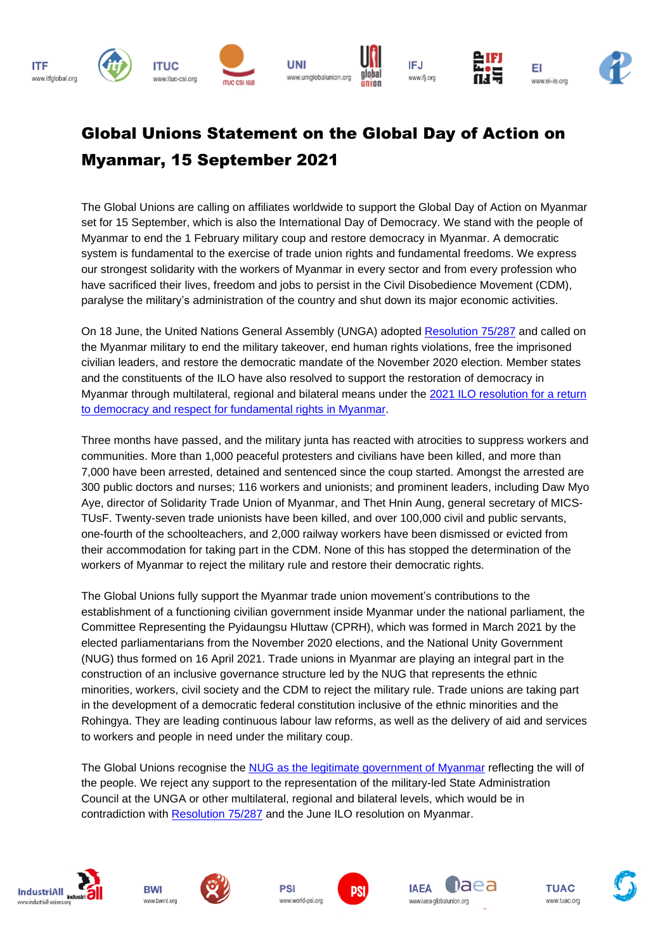

## Global Unions Statement on the Global Day of Action on Myanmar, 15 September 2021

The Global Unions are calling on affiliates worldwide to support the Global Day of Action on Myanmar set for 15 September, which is also the International Day of Democracy. We stand with the people of Myanmar to end the 1 February military coup and restore democracy in Myanmar. A democratic system is fundamental to the exercise of trade union rights and fundamental freedoms. We express our strongest solidarity with the workers of Myanmar in every sector and from every profession who have sacrificed their lives, freedom and jobs to persist in the Civil Disobedience Movement (CDM), paralyse the military's administration of the country and shut down its major economic activities.

On 18 June, the United Nations General Assembly (UNGA) adopted [Resolution](https://undocs.org/en/A/RES/75/287) 75/287 and called on the Myanmar military to end the military takeover, end human rights violations, free the imprisoned civilian leaders, and restore the democratic mandate of the November 2020 election. Member states and the constituents of the ILO have also resolved to support the restoration of democracy in Myanmar through multilateral, regional and bilateral means under the 2021 ILO [resolution](https://www.ilo.org/wcmsp5/groups/public/---ed_norm/---relconf/documents/meetingdocument/wcms_806089.pdf) for a return to democracy and respect for [fundamental](https://www.ilo.org/wcmsp5/groups/public/---ed_norm/---relconf/documents/meetingdocument/wcms_806089.pdf) rights in Myanmar.

Three months have passed, and the military junta has reacted with atrocities to suppress workers and communities. More than 1,000 peaceful protesters and civilians have been killed, and more than 7,000 have been arrested, detained and sentenced since the coup started. Amongst the arrested are 300 public doctors and nurses; 116 workers and unionists; and prominent leaders, including Daw Myo Aye, director of Solidarity Trade Union of Myanmar, and Thet Hnin Aung, general secretary of MICS-TUsF. Twenty-seven trade unionists have been killed, and over 100,000 civil and public servants, one-fourth of the schoolteachers, and 2,000 railway workers have been dismissed or evicted from their accommodation for taking part in the CDM. None of this has stopped the determination of the workers of Myanmar to reject the military rule and restore their democratic rights.

The Global Unions fully support the Myanmar trade union movement's contributions to the establishment of a functioning civilian government inside Myanmar under the national parliament, the Committee Representing the Pyidaungsu Hluttaw (CPRH), which was formed in March 2021 by the elected parliamentarians from the November 2020 elections, and the National Unity Government (NUG) thus formed on 16 April 2021. Trade unions in Myanmar are playing an integral part in the construction of an inclusive governance structure led by the NUG that represents the ethnic minorities, workers, civil society and the CDM to reject the military rule. Trade unions are taking part in the development of a democratic federal constitution inclusive of the ethnic minorities and the Rohingya. They are leading continuous labour law reforms, as well as the delivery of aid and services to workers and people in need under the military coup.

The Global Unions recognise the NUG as the legitimate [government](http://www.industriall-union.org/global-unions-to-challenge-legitimacy-of-myanmar-junta-at-ilc) of Myanmar reflecting the will of the people. We reject any support to the representation of the military-led State Administration Council at the UNGA or other multilateral, regional and bilateral levels, which would be in contradiction with [Resolution](https://undocs.org/en/A/RES/75/287) 75/287 and the June ILO resolution on Myanmar.















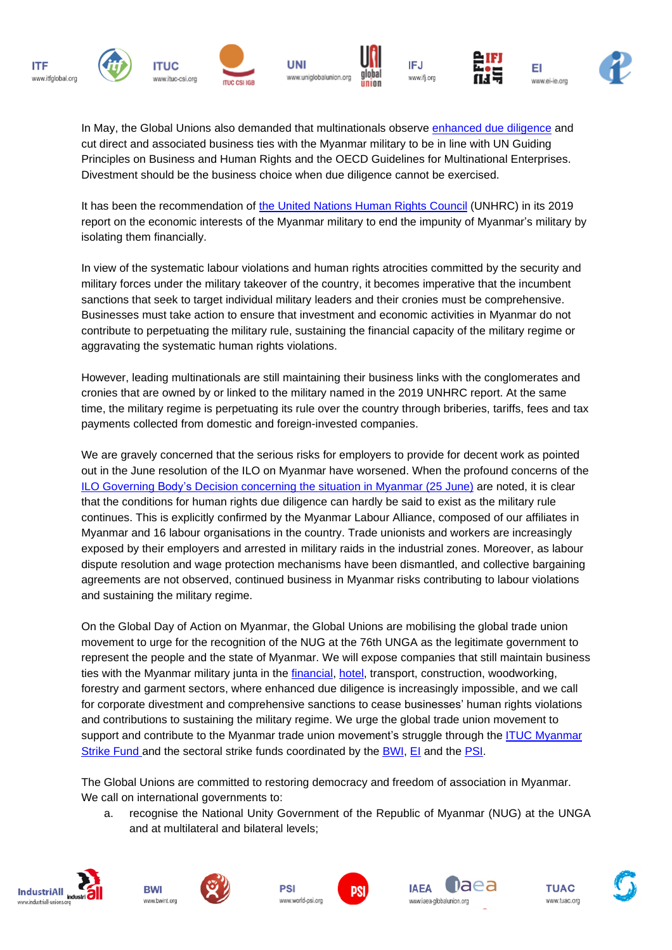

In May, the Global Unions also demanded that multinationals observe [enhanced](http://www.industriall-union.org/global-unions-to-challenge-legitimacy-of-myanmar-junta-at-ilc) due diligence and cut direct and associated business ties with the Myanmar military to be in line with UN Guiding Principles on Business and Human Rights and the OECD Guidelines for Multinational Enterprises. Divestment should be the business choice when due diligence cannot be exercised.

It has been the recommendation of the United [Nations](https://www.ohchr.org/EN/HRBodies/HRC/MyanmarFFM/Pages/EconomicInterestsMyanmarMilitary.aspx) Human Rights Council (UNHRC) in its 2019 report on the economic interests of the Myanmar military to end the impunity of Myanmar's military by isolating them financially.

In view of the systematic labour violations and human rights atrocities committed by the security and military forces under the military takeover of the country, it becomes imperative that the incumbent sanctions that seek to target individual military leaders and their cronies must be comprehensive. Businesses must take action to ensure that investment and economic activities in Myanmar do not contribute to perpetuating the military rule, sustaining the financial capacity of the military regime or aggravating the systematic human rights violations.

However, leading multinationals are still maintaining their business links with the conglomerates and cronies that are owned by or linked to the military named in the 2019 UNHRC report. At the same time, the military regime is perpetuating its rule over the country through briberies, tariffs, fees and tax payments collected from domestic and foreign-invested companies.

We are gravely concerned that the serious risks for employers to provide for decent work as pointed out in the June resolution of the ILO on Myanmar have worsened. When the profound concerns of the ILO Governing Body's Decision [concerning](https://www.ilo.org/gb/GBSessions/GB342/ins/WCMS_807504/lang--en/index.htm) the situation in Myanmar (25 June) are noted, it is clear that the conditions for human rights due diligence can hardly be said to exist as the military rule continues. This is explicitly confirmed by the Myanmar Labour Alliance, composed of our affiliates in Myanmar and 16 labour organisations in the country. Trade unionists and workers are increasingly exposed by their employers and arrested in military raids in the industrial zones. Moreover, as labour dispute resolution and wage protection mechanisms have been dismantled, and collective bargaining agreements are not observed, continued business in Myanmar risks contributing to labour violations and sustaining the military regime.

On the Global Day of Action on Myanmar, the Global Unions are mobilising the global trade union movement to urge for the recognition of the NUG at the 76th UNGA as the legitimate government to represent the people and the state of Myanmar. We will expose companies that still maintain business ties with the Myanmar military junta in the [financial,](https://uniglobalunion.org/news/uni-calls-multinational-banks-divest-myanmar) [hotel,](https://iufap.org/2021/08/28/international-day-of-democracy-2021-posters-accor-and-hilton-must-stop-financing-myanmars-military-junta/) transport, construction, woodworking, forestry and garment sectors, where enhanced due diligence is increasingly impossible, and we call for corporate divestment and comprehensive sanctions to cease businesses' human rights violations and contributions to sustaining the military regime. We urge the global trade union movement to support and contribute to the [Myanmar](https://qatar.ituc-csi.org/myanmar-strike-fund) trade union movement's struggle through the ITUC Myanmar [Strike](https://qatar.ituc-csi.org/myanmar-strike-fund) Fund and the sectoral strike funds coordinated by the **BWI**, [EI](https://www.ei-ie.org/index.php/en/item/24822:education-international-condemns-the-coup-and-repression-in-myanmar) and the **PSI**.

The Global Unions are committed to restoring democracy and freedom of association in Myanmar. We call on international governments to:

a. recognise the National Unity Government of the Republic of Myanmar (NUG) at the UNGA and at multilateral and bilateral levels;